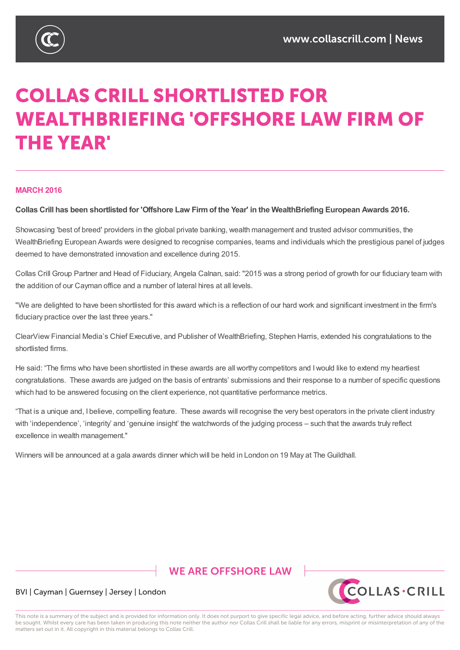

# **COLLAS CRILL SHORTLISTED FOR WEALTHBRIEFING 'OFFSHORE LAW FIRM OF THE YEAR'**

#### **MARCH 2016**

Collas Crill has been shortlisted for 'Offshore Law Firm of the Year' in the WealthBriefing European Awards 2016.

Showcasing 'best of breed' providers in the global private banking, wealth management and trusted advisor communities, the WealthBriefing European Awards were designed to recognise companies, teams and individuals which the prestigious panel of judges deemed to have demonstrated innovation and excellence during 2015.

Collas Crill Group Partner and Head of Fiduciary, Angela Calnan, said: "2015 was a strong period of growth for our fiduciary team with the addition of our Cayman office and a number of lateral hires at all levels.

"We are delighted to have been shortlisted for this award which is a reflection of our hard work and significant investment in the firm's fiduciary practice over the last three years."

ClearView Financial Media's Chief Executive, and Publisher of WealthBriefing, Stephen Harris, extended his congratulations to the shortlisted firms.

He said: "The firms who have been shortlisted in these awards are all worthy competitors and Iwould like to extend my heartiest congratulations. These awards are judged on the basis of entrants' submissions and their response to a number of specific questions which had to be answered focusing on the client experience, not quantitative performance metrics.

"That is a unique and, I believe, compelling feature. These awards will recognise the very best operators in the private client industry with 'independence', 'integrity' and 'genuine insight' the watchwords of the judging process – such that the awards truly reflect excellence in wealth management."

Winners will be announced at a gala awards dinner which will be held in London on 19 May at The Guildhall.

# **WE ARE OFFSHORE LAW**



## BVI | Cayman | Guernsey | Jersey | London

This note is a summary of the subject and is provided for information only. It does not purport to give specific legal advice, and before acting, further advice should always be sought. Whilst every care has been taken in producing this note neither the author nor Collas Crill shall be liable for any errors, misprint or misinterpretation of any of the matters set out in it. All copyright in this material belongs to Collas Crill.